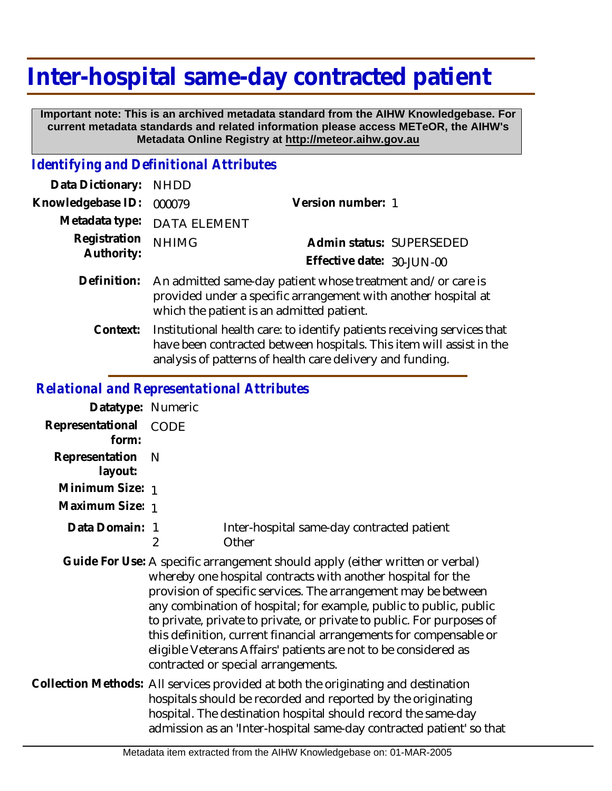## **Inter-hospital same-day contracted patient**

 **Important note: This is an archived metadata standard from the AIHW Knowledgebase. For current metadata standards and related information please access METeOR, the AIHW's Metadata Online Registry at http://meteor.aihw.gov.au**

## *Identifying and Definitional Attributes*

| Data Dictionary: NHDD      |                                                                                                                                                                            |                           |                          |
|----------------------------|----------------------------------------------------------------------------------------------------------------------------------------------------------------------------|---------------------------|--------------------------|
| Knowledgebase ID:          | 000079                                                                                                                                                                     | Version number: 1         |                          |
| Metadata type:             | <b>DATA ELEMENT</b>                                                                                                                                                        |                           |                          |
| Registration<br>Authority: | <b>NHIMG</b>                                                                                                                                                               |                           | Admin status: SUPERSEDED |
|                            |                                                                                                                                                                            | Effective date: 30-JUN-00 |                          |
| Definition:                | An admitted same-day patient whose treatment and/or care is<br>provided under a specific arrangement with another hospital at<br>which the patient is an admitted patient. |                           |                          |
| $C$ ontavt $\cdot$         | Institutional health sare: to identify patients reseiving services t                                                                                                       |                           |                          |

Institutional health care: to identify patients receiving services that have been contracted between hospitals. This item will assist in the analysis of patterns of health care delivery and funding. **Context:**

## *Relational and Representational Attributes*

| Datatype: Numeric         |                                                                                                                                                   |                                                                                                                                                                                                                                                                                                                                                                                                                                                                                                                                                |
|---------------------------|---------------------------------------------------------------------------------------------------------------------------------------------------|------------------------------------------------------------------------------------------------------------------------------------------------------------------------------------------------------------------------------------------------------------------------------------------------------------------------------------------------------------------------------------------------------------------------------------------------------------------------------------------------------------------------------------------------|
| Representational<br>form: | CODE                                                                                                                                              |                                                                                                                                                                                                                                                                                                                                                                                                                                                                                                                                                |
| Representation<br>layout: | - N                                                                                                                                               |                                                                                                                                                                                                                                                                                                                                                                                                                                                                                                                                                |
| Minimum Size: 1           |                                                                                                                                                   |                                                                                                                                                                                                                                                                                                                                                                                                                                                                                                                                                |
| Maximum Size: 1           |                                                                                                                                                   |                                                                                                                                                                                                                                                                                                                                                                                                                                                                                                                                                |
| Data Domain: 1            | 2                                                                                                                                                 | Inter-hospital same-day contracted patient<br>Other                                                                                                                                                                                                                                                                                                                                                                                                                                                                                            |
|                           |                                                                                                                                                   | Guide For Use: A specific arrangement should apply (either written or verbal)<br>whereby one hospital contracts with another hospital for the<br>provision of specific services. The arrangement may be between<br>any combination of hospital; for example, public to public, public<br>to private, private to private, or private to public. For purposes of<br>this definition, current financial arrangements for compensable or<br>eligible Veterans Affairs' patients are not to be considered as<br>contracted or special arrangements. |
|                           | Collection Methods: All services provided at both the originating and destination<br>hospitals should be recorded and reported by the originating |                                                                                                                                                                                                                                                                                                                                                                                                                                                                                                                                                |

hospitals should be recorded and reported by the originating hospital. The destination hospital should record the same-day admission as an 'Inter-hospital same-day contracted patient' so that